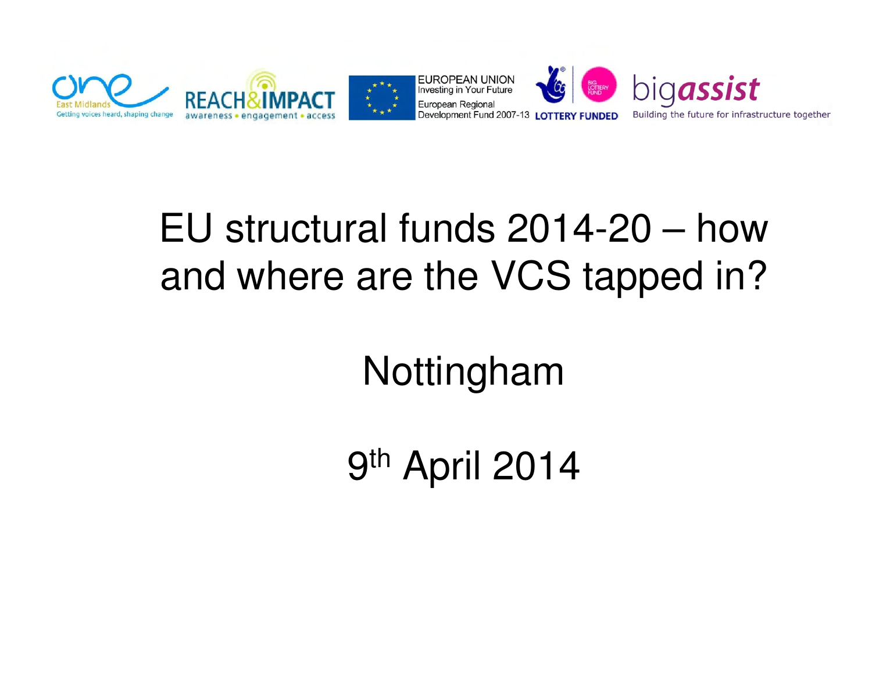

#### EU structural funds 2014-20 – how and where are the VCS tapped in?

Nottingham

9<sup>th</sup> April 2014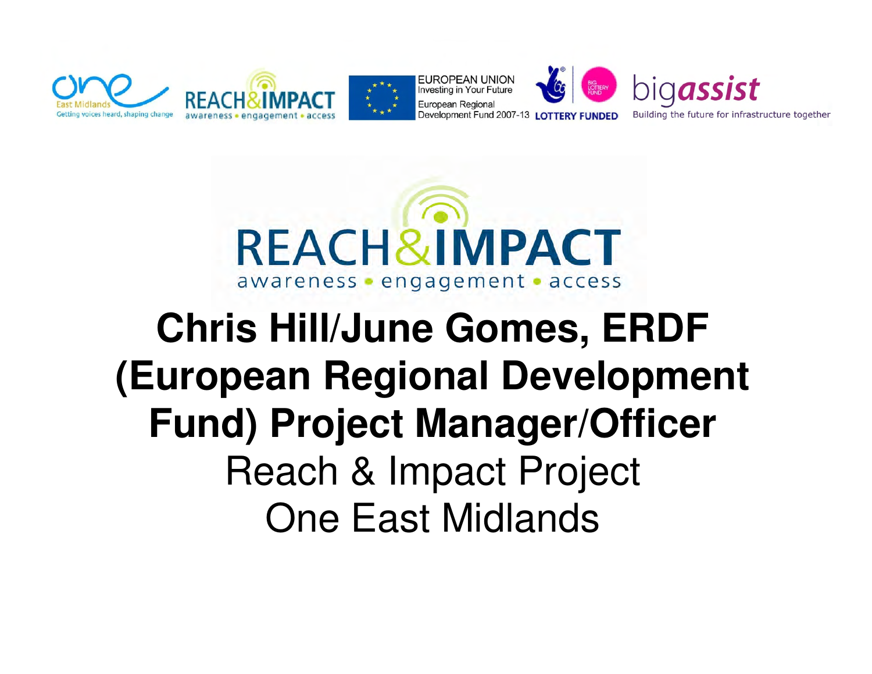



## **Chris Hill/June Gomes, ERDF (European Regional Development Fund) Project Manager/Officer**Reach & Impact ProjectOne East Midlands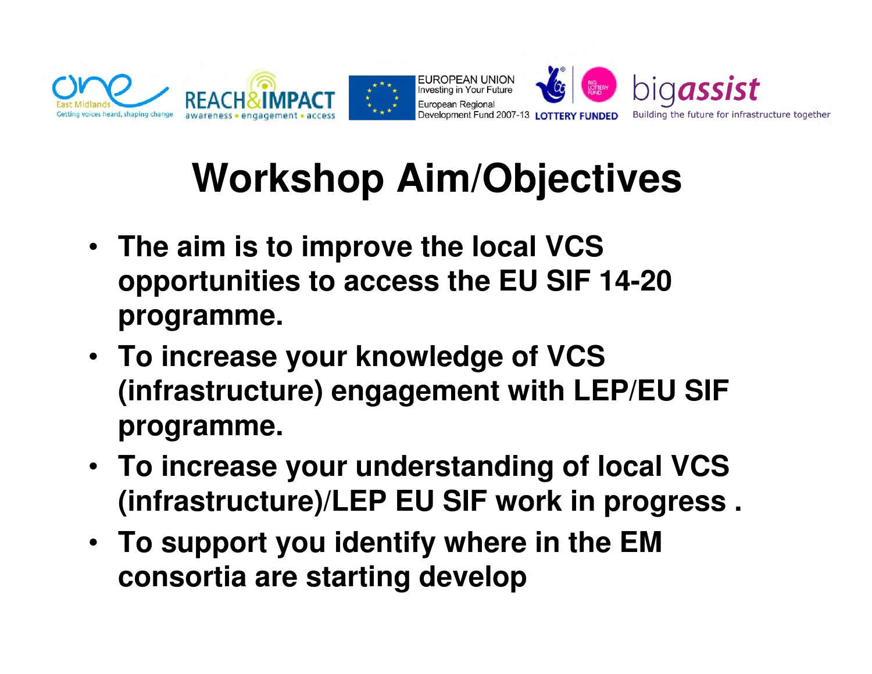

# **Workshop Aim/Objectives**

- **The aim is to improve the local VCS opportunities to access the EU SIF 14-20 programme.**
- **To increase your knowledge of VCS (infrastructure) engagement with LEP/EU SIF programme.**
- **To increase your understanding of local VCS (infrastructure)/LEP EU SIF work in progress .**
- **To support you identify where in the EM consortia are starting develop**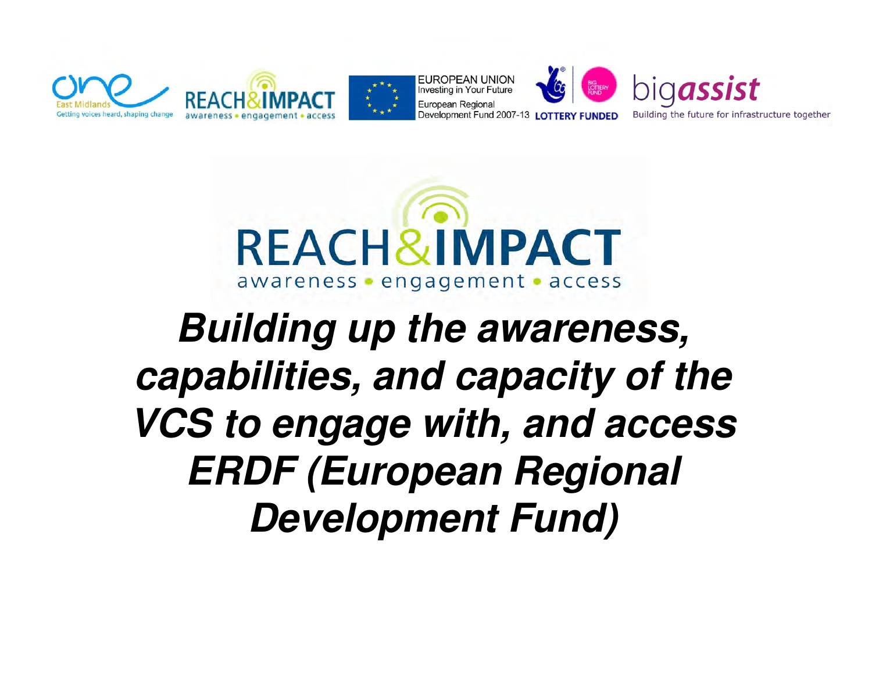



# **Building up the awareness, capabilities, and capacity of the VCS to engage with, and access ERDF (European Regional Development Fund)**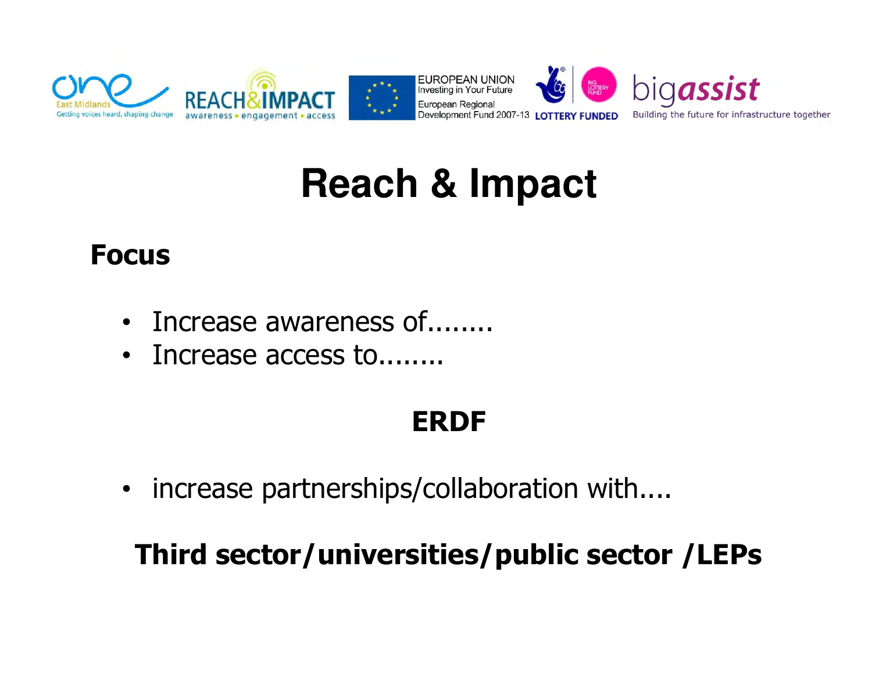

#### **Reach & Impact**

#### Focus

- Increase awareness of........
- Increase access to........

#### ERDF

• increase partnerships/collaboration with....

#### Third sector/universities/public sector /LEPs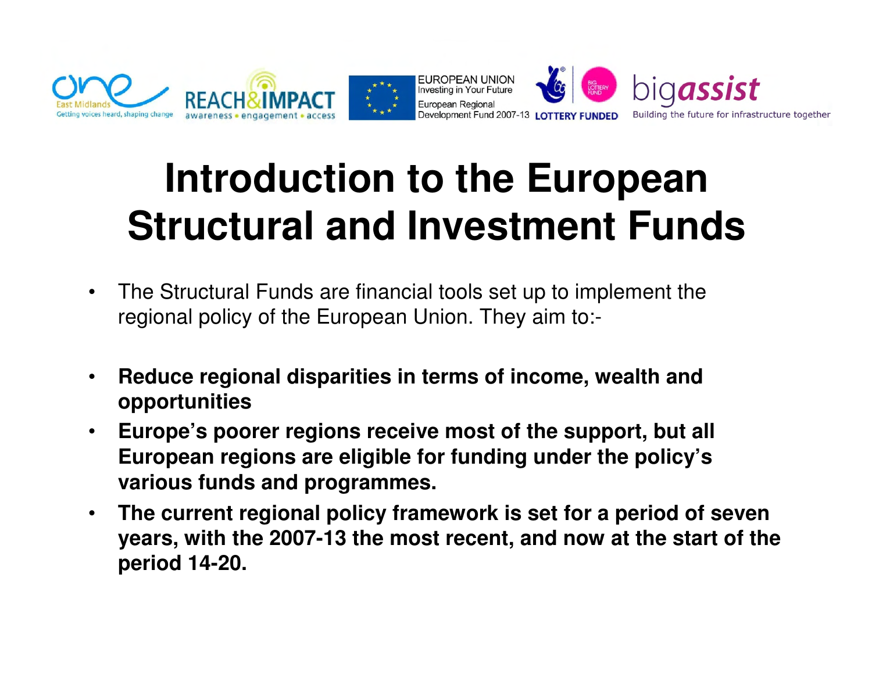

# **Introduction to the European Structural and Investment Funds**

- • The Structural Funds are financial tools set up to implement theregional policy of the European Union. They aim to:-
- $\bullet$  **Reduce regional disparities in terms of income, wealth and opportunities**
- $\bullet$  **Europe's poorer regions receive most of the support, but all European regions are eligible for funding under the policy's various funds and programmes.**
- • **The current regional policy framework is set for a period of seven years, with the 2007-13 the most recent, and now at the start of the period 14-20.**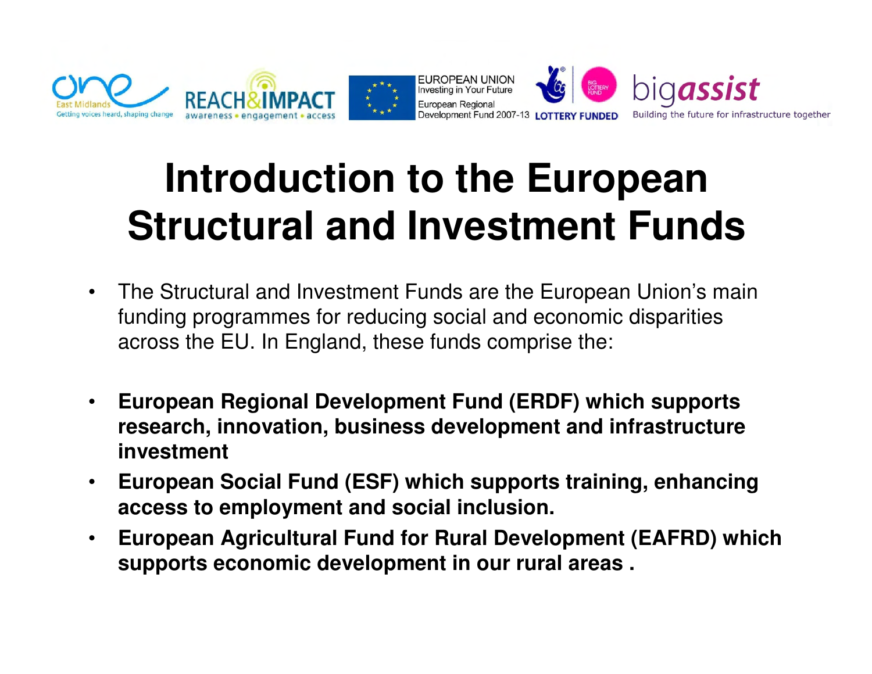

# **Introduction to the European Structural and Investment Funds**

- $\bullet$  The Structural and Investment Funds are the European Union's main funding programmes for reducing social and economic disparities across the EU. In England, these funds comprise the:
- $\bullet$  **European Regional Development Fund (ERDF) which supports research, innovation, business development and infrastructure investment**
- $\bullet$  **European Social Fund (ESF) which supports training, enhancing access to employment and social inclusion.**
- $\bullet$  **European Agricultural Fund for Rural Development (EAFRD) which supports economic development in our rural areas .**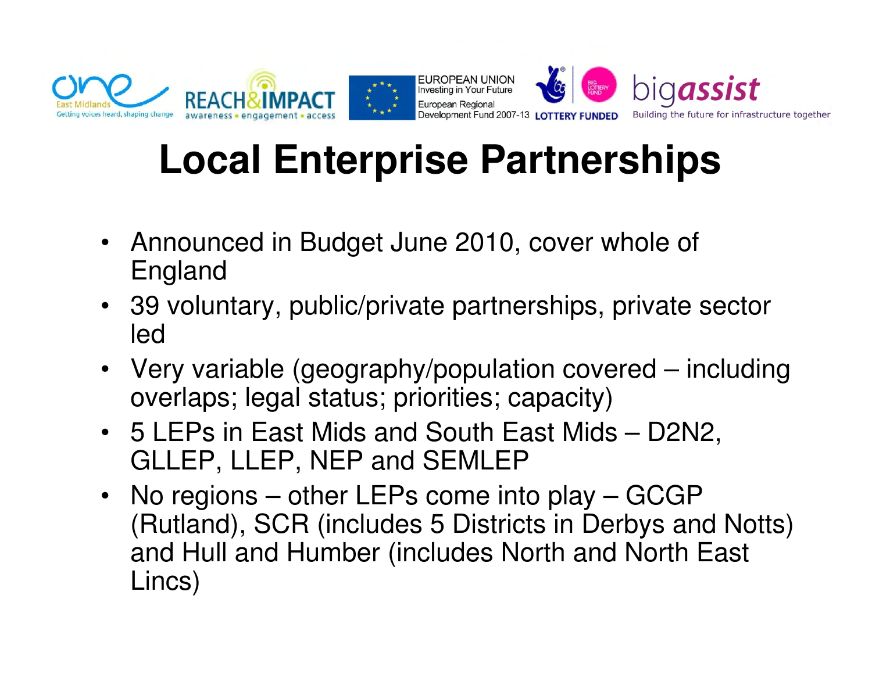

# **Local Enterprise Partnerships**

- Announced in Budget June 2010, cover whole of England
- 39 voluntary, public/private partnerships, private sector led
- Very variable (geography/population covered including overlaps; legal status; priorities; capacity)
- 5 LEPs in East Mids and South East Mids D2N2, GLLEP, LLEP, NEP and SEMLEP
- No regions other LEPs come into play GCGP (Rutland), SCR (includes 5 Districts in Derbys and Notts) and Hull and Humber (includes North and North East Lincs)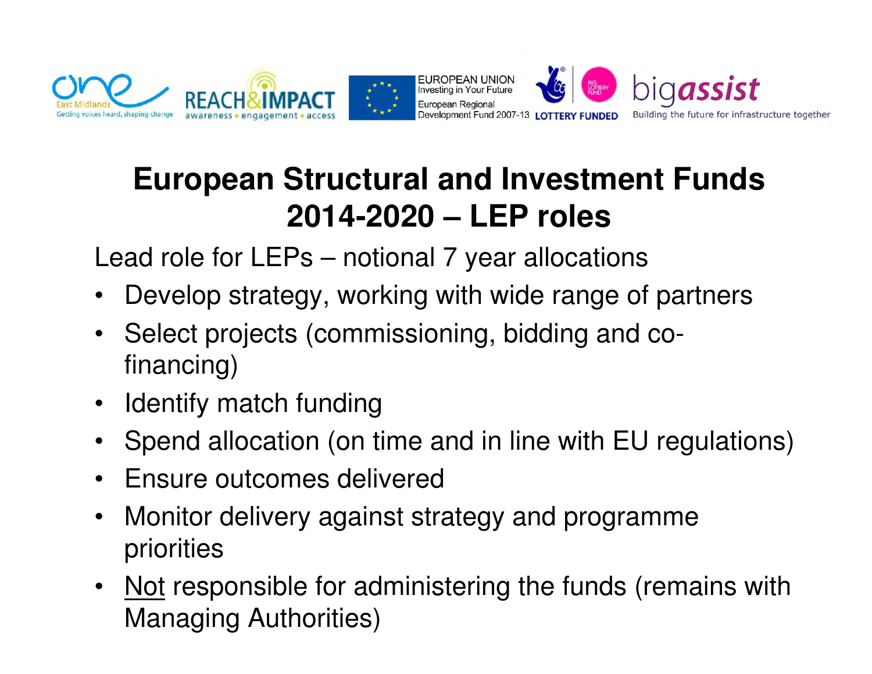

#### **European Structural and Investment Funds 2014-2020 – LEP roles**

Lead role for LEPs – notional 7 year allocations

- $\bullet$ Develop strategy, working with wide range of partners
- • Select projects (commissioning, bidding and cofinancing)
- $\bullet$ Identify match funding
- $\bullet$ Spend allocation (on time and in line with EU regulations)
- $\bullet$ Ensure outcomes delivered
- $\bullet$  Monitor delivery against strategy and programme priorities
- • Not responsible for administering the funds (remains with Managing Authorities)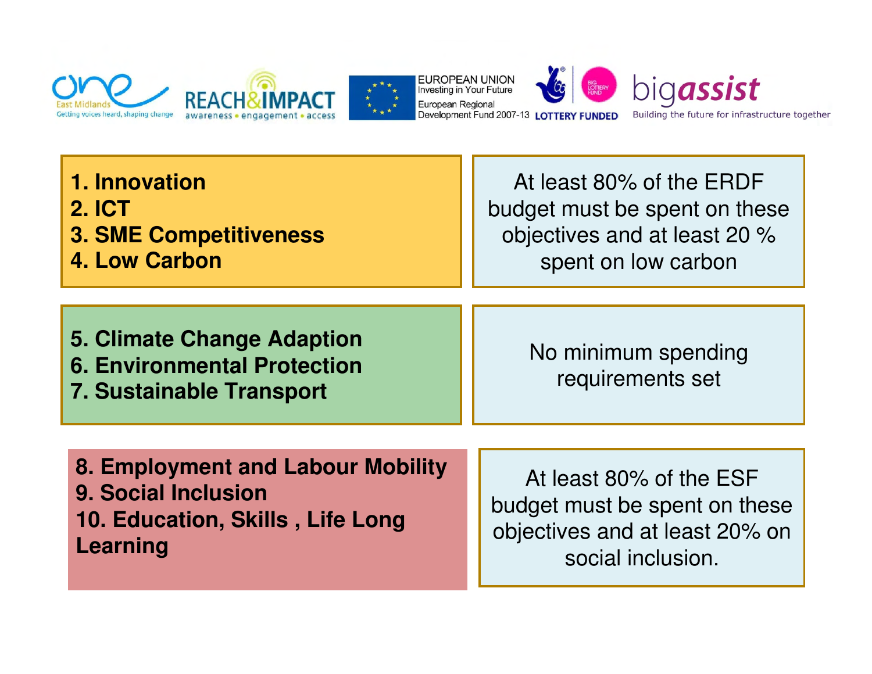



| 1. Innovation                                                                                              | At least 80% of the ERDF                |
|------------------------------------------------------------------------------------------------------------|-----------------------------------------|
| <b>2. ICT</b>                                                                                              | budget must be spent on these           |
| <b>3. SME Competitiveness</b>                                                                              | objectives and at least 20 %            |
| <b>4. Low Carbon</b>                                                                                       | spent on low carbon                     |
| <b>5. Climate Change Adaption</b><br><b>6. Environmental Protection</b><br><b>7. Sustainable Transport</b> | No minimum spending<br>requirements set |
| 8. Employment and Labour Mobility                                                                          | At least 80% of the ESF                 |
| 9. Social Inclusion                                                                                        | budget must be spent on these           |
| 10. Education, Skills, Life Long                                                                           | objectives and at least 20% on          |
| <b>Learning</b>                                                                                            | social inclusion.                       |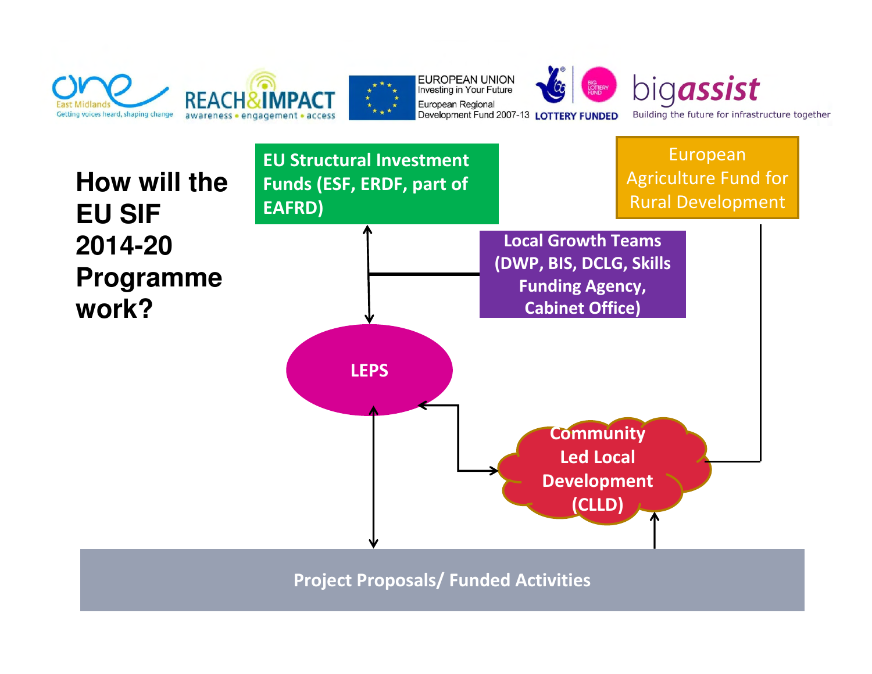

**EUROPEAN UNION** Investing in Your Future European Regional Development Fund 2007-13 LOTTERY FUNDED



European

**How will the EU SIF 2014-20 Programme work?**

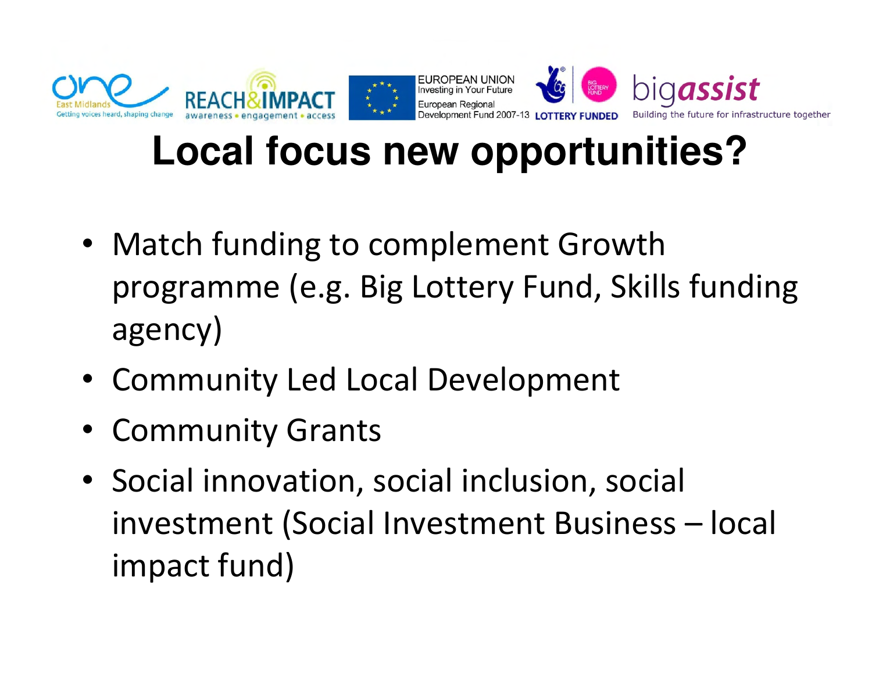

#### **Local focus new opportunities?**

- Match funding to complement Growth programme (e.g. Big Lottery Fund, Skills funding agency)
- Community Led Local Development
- Community Grants
- Social innovation, social inclusion, social investment (Social Investment Business – local impact fund)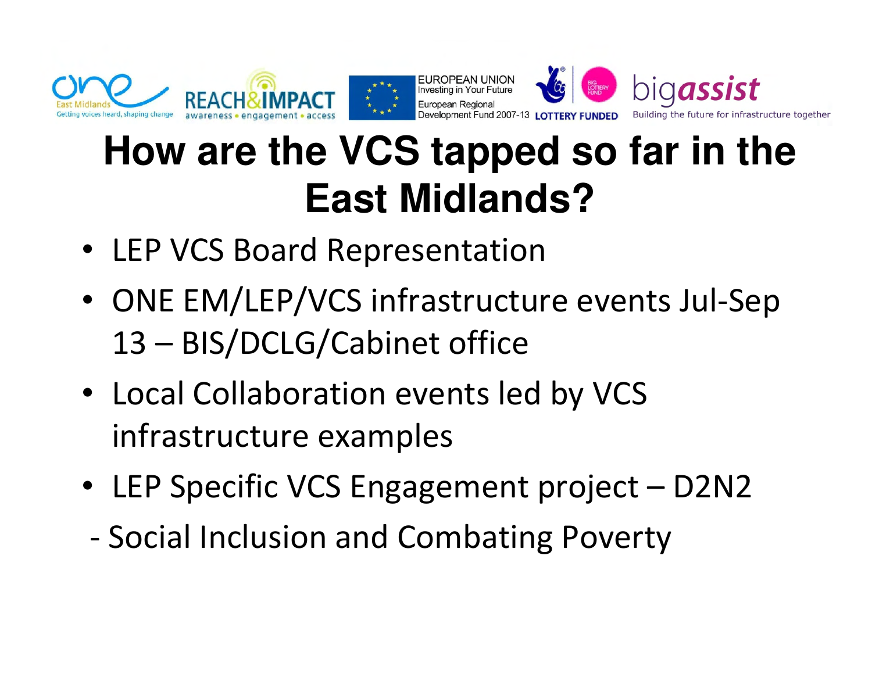

### **How are the VCS tapped so far in the East Midlands?**

- LEP VCS Board Representation
- ONE EM/LEP/VCS infrastructure events Jul-Sep 13 – BIS/DCLG/Cabinet office
- Local Collaboration events led by VCS infrastructure examples
- LEP Specific VCS Engagement project D2N2
- -Social Inclusion and Combating Poverty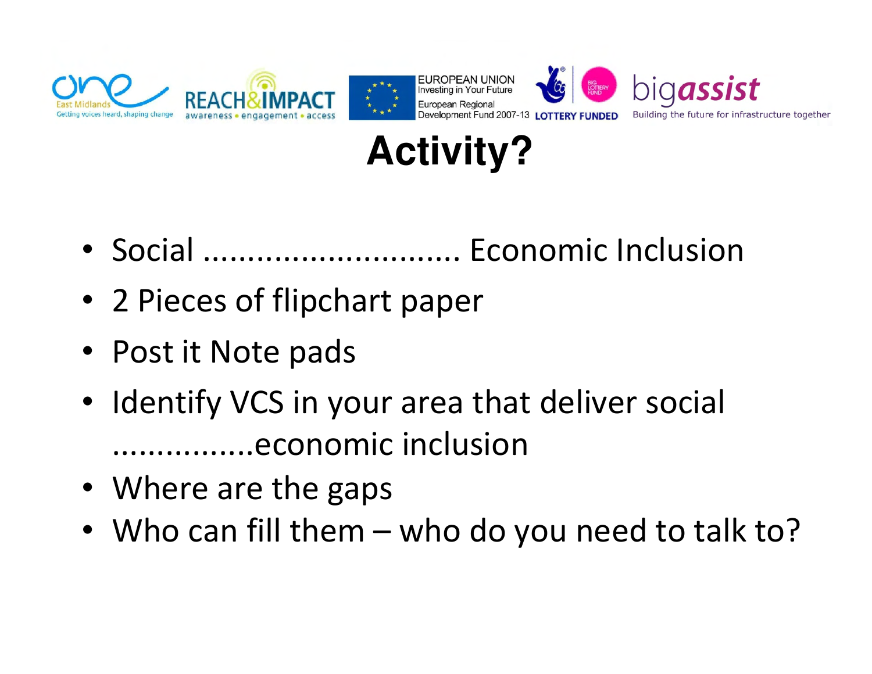



- Social ............................. Economic Inclusion
- 2 Pieces of flipchart paper
- Post it Note pads
- Identify VCS in your area that deliver social ................economic inclusion
- Where are the gaps
- Who can fill them who do you need to talk to?